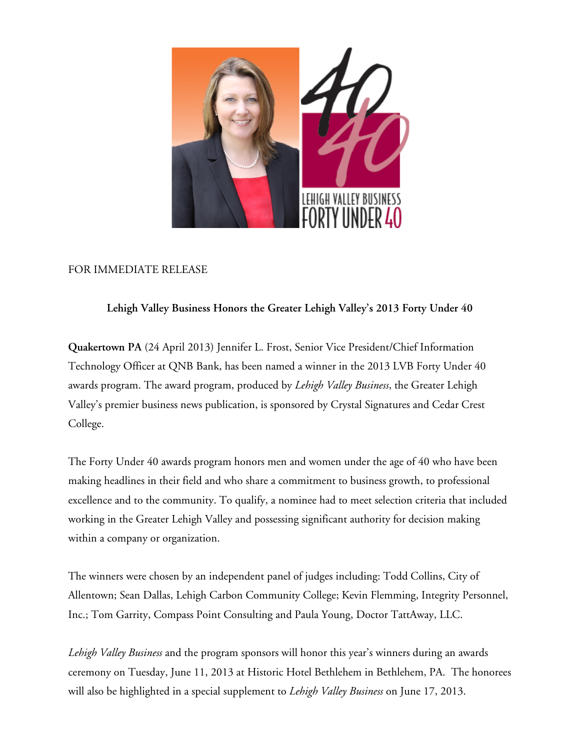

## FOR IMMEDIATE RELEASE

## **Lehigh Valley Business Honors the Greater Lehigh Valley's 2013 Forty Under 40**

**Quakertown PA** (24 April 2013) Jennifer L. Frost, Senior Vice President/Chief Information Technology Officer at QNB Bank, has been named a winner in the 2013 LVB Forty Under 40 awards program. The award program, produced by *Lehigh Valley Business*, the Greater Lehigh Valley's premier business news publication, is sponsored by Crystal Signatures and Cedar Crest College.

The Forty Under 40 awards program honors men and women under the age of 40 who have been making headlines in their field and who share a commitment to business growth, to professional excellence and to the community. To qualify, a nominee had to meet selection criteria that included working in the Greater Lehigh Valley and possessing significant authority for decision making within a company or organization.

The winners were chosen by an independent panel of judges including: Todd Collins, City of Allentown; Sean Dallas, Lehigh Carbon Community College; Kevin Flemming, Integrity Personnel, Inc.; Tom Garrity, Compass Point Consulting and Paula Young, Doctor TattAway, LLC.

*Lehigh Valley Business* and the program sponsors will honor this year's winners during an awards ceremony on Tuesday, June 11, 2013 at Historic Hotel Bethlehem in Bethlehem, PA. The honorees will also be highlighted in a special supplement to *Lehigh Valley Business* on June 17, 2013.